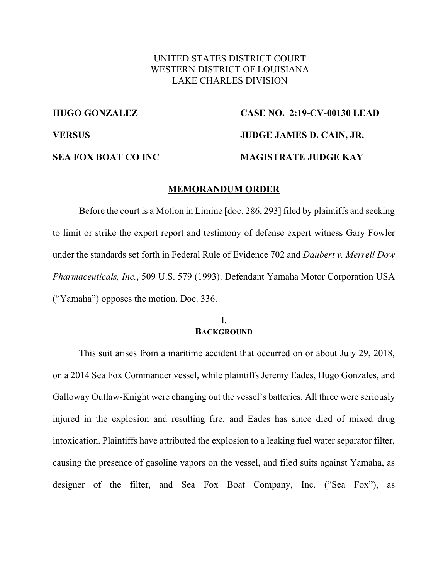## UNITED STATES DISTRICT COURT WESTERN DISTRICT OF LOUISIANA LAKE CHARLES DIVISION

# **HUGO GONZALEZ CASE NO. 2:19-CV-00130 LEAD VERSUS JUDGE JAMES D. CAIN, JR. SEA FOX BOAT CO INC MAGISTRATE JUDGE KAY**

#### **MEMORANDUM ORDER**

Before the court is a Motion in Limine [doc. 286, 293] filed by plaintiffs and seeking to limit or strike the expert report and testimony of defense expert witness Gary Fowler under the standards set forth in Federal Rule of Evidence 702 and *Daubert v. Merrell Dow Pharmaceuticals, Inc.*, 509 U.S. 579 (1993). Defendant Yamaha Motor Corporation USA ("Yamaha") opposes the motion. Doc. 336.

#### **I. BACKGROUND**

This suit arises from a maritime accident that occurred on or about July 29, 2018, on a 2014 Sea Fox Commander vessel, while plaintiffs Jeremy Eades, Hugo Gonzales, and Galloway Outlaw-Knight were changing out the vessel's batteries. All three were seriously injured in the explosion and resulting fire, and Eades has since died of mixed drug intoxication. Plaintiffs have attributed the explosion to a leaking fuel water separator filter, causing the presence of gasoline vapors on the vessel, and filed suits against Yamaha, as designer of the filter, and Sea Fox Boat Company, Inc. ("Sea Fox"), as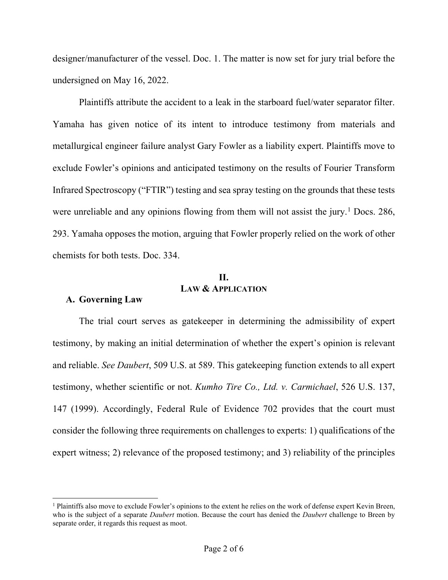designer/manufacturer of the vessel. Doc. 1. The matter is now set for jury trial before the undersigned on May 16, 2022.

 Plaintiffs attribute the accident to a leak in the starboard fuel/water separator filter. Yamaha has given notice of its intent to introduce testimony from materials and metallurgical engineer failure analyst Gary Fowler as a liability expert. Plaintiffs move to exclude Fowler's opinions and anticipated testimony on the results of Fourier Transform Infrared Spectroscopy ("FTIR") testing and sea spray testing on the grounds that these tests were unreliable and any opinions flowing from them will not assist the jury.<sup>1</sup> Docs. 286, 293. Yamaha opposes the motion, arguing that Fowler properly relied on the work of other chemists for both tests. Doc. 334.

# **II. LAW & APPLICATION**

#### **A. Governing Law**

The trial court serves as gatekeeper in determining the admissibility of expert testimony, by making an initial determination of whether the expert's opinion is relevant and reliable. *See Daubert*, 509 U.S. at 589. This gatekeeping function extends to all expert testimony, whether scientific or not. *Kumho Tire Co., Ltd. v. Carmichael*, 526 U.S. 137, 147 (1999). Accordingly, Federal Rule of Evidence 702 provides that the court must consider the following three requirements on challenges to experts: 1) qualifications of the expert witness; 2) relevance of the proposed testimony; and 3) reliability of the principles

 $<sup>1</sup>$  Plaintiffs also move to exclude Fowler's opinions to the extent he relies on the work of defense expert Kevin Breen,</sup> who is the subject of a separate *Daubert* motion. Because the court has denied the *Daubert* challenge to Breen by separate order, it regards this request as moot.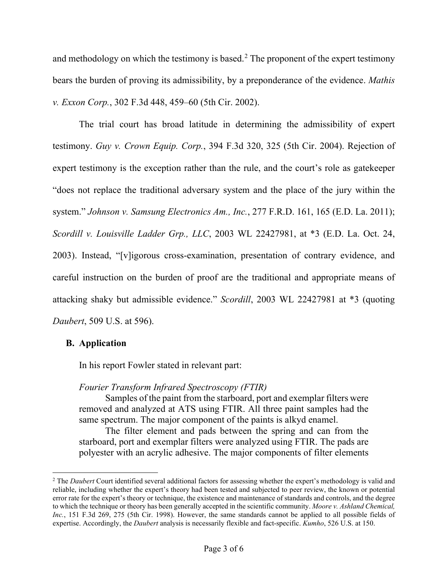and methodology on which the testimony is based. $<sup>2</sup>$  The proponent of the expert testimony</sup> bears the burden of proving its admissibility, by a preponderance of the evidence. *Mathis v. Exxon Corp.*, 302 F.3d 448, 459–60 (5th Cir. 2002).

The trial court has broad latitude in determining the admissibility of expert testimony. *Guy v. Crown Equip. Corp.*, 394 F.3d 320, 325 (5th Cir. 2004). Rejection of expert testimony is the exception rather than the rule, and the court's role as gatekeeper "does not replace the traditional adversary system and the place of the jury within the system." *Johnson v. Samsung Electronics Am., Inc.*, 277 F.R.D. 161, 165 (E.D. La. 2011); *Scordill v. Louisville Ladder Grp., LLC*, 2003 WL 22427981, at \*3 (E.D. La. Oct. 24, 2003). Instead, "[v]igorous cross-examination, presentation of contrary evidence, and careful instruction on the burden of proof are the traditional and appropriate means of attacking shaky but admissible evidence." *Scordill*, 2003 WL 22427981 at \*3 (quoting *Daubert*, 509 U.S. at 596).

## **B. Application**

In his report Fowler stated in relevant part:

## *Fourier Transform Infrared Spectroscopy (FTIR)*

Samples of the paint from the starboard, port and exemplar filters were removed and analyzed at ATS using FTIR. All three paint samples had the same spectrum. The major component of the paints is alkyd enamel.

The filter element and pads between the spring and can from the starboard, port and exemplar filters were analyzed using FTIR. The pads are polyester with an acrylic adhesive. The major components of filter elements

<sup>2</sup> The *Daubert* Court identified several additional factors for assessing whether the expert's methodology is valid and reliable, including whether the expert's theory had been tested and subjected to peer review, the known or potential error rate for the expert's theory or technique, the existence and maintenance of standards and controls, and the degree to which the technique or theory has been generally accepted in the scientific community. *Moore v. Ashland Chemical, Inc.*, 151 F.3d 269, 275 (5th Cir. 1998). However, the same standards cannot be applied to all possible fields of expertise. Accordingly, the *Daubert* analysis is necessarily flexible and fact-specific. *Kumho*, 526 U.S. at 150.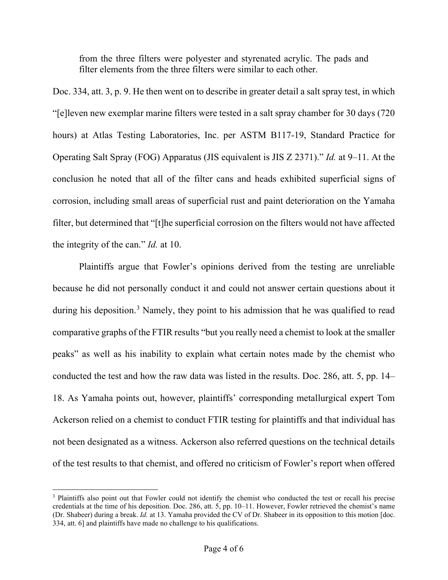from the three filters were polyester and styrenated acrylic. The pads and filter elements from the three filters were similar to each other.

Doc. 334, att. 3, p. 9. He then went on to describe in greater detail a salt spray test, in which "[e]leven new exemplar marine filters were tested in a salt spray chamber for 30 days (720 hours) at Atlas Testing Laboratories, Inc. per ASTM B117-19, Standard Practice for Operating Salt Spray (FOG) Apparatus (JIS equivalent is JIS Z 2371)." *Id.* at 9–11. At the conclusion he noted that all of the filter cans and heads exhibited superficial signs of corrosion, including small areas of superficial rust and paint deterioration on the Yamaha filter, but determined that "[t]he superficial corrosion on the filters would not have affected the integrity of the can." *Id.* at 10.

Plaintiffs argue that Fowler's opinions derived from the testing are unreliable because he did not personally conduct it and could not answer certain questions about it during his deposition.<sup>3</sup> Namely, they point to his admission that he was qualified to read comparative graphs of the FTIR results "but you really need a chemist to look at the smaller peaks" as well as his inability to explain what certain notes made by the chemist who conducted the test and how the raw data was listed in the results. Doc. 286, att. 5, pp. 14– 18. As Yamaha points out, however, plaintiffs' corresponding metallurgical expert Tom Ackerson relied on a chemist to conduct FTIR testing for plaintiffs and that individual has not been designated as a witness. Ackerson also referred questions on the technical details of the test results to that chemist, and offered no criticism of Fowler's report when offered

<sup>&</sup>lt;sup>3</sup> Plaintiffs also point out that Fowler could not identify the chemist who conducted the test or recall his precise credentials at the time of his deposition. Doc. 286, att. 5, pp. 10–11. However, Fowler retrieved the chemist's name (Dr. Shabeer) during a break. *Id.* at 13. Yamaha provided the CV of Dr. Shabeer in its opposition to this motion [doc. 334, att. 6] and plaintiffs have made no challenge to his qualifications.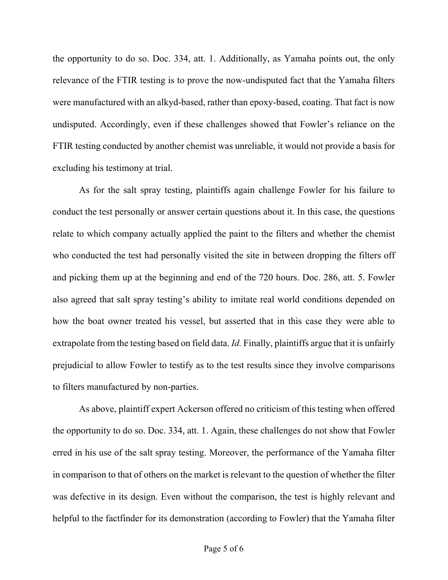the opportunity to do so. Doc. 334, att. 1. Additionally, as Yamaha points out, the only relevance of the FTIR testing is to prove the now-undisputed fact that the Yamaha filters were manufactured with an alkyd-based, rather than epoxy-based, coating. That fact is now undisputed. Accordingly, even if these challenges showed that Fowler's reliance on the FTIR testing conducted by another chemist was unreliable, it would not provide a basis for excluding his testimony at trial.

As for the salt spray testing, plaintiffs again challenge Fowler for his failure to conduct the test personally or answer certain questions about it. In this case, the questions relate to which company actually applied the paint to the filters and whether the chemist who conducted the test had personally visited the site in between dropping the filters off and picking them up at the beginning and end of the 720 hours. Doc. 286, att. 5. Fowler also agreed that salt spray testing's ability to imitate real world conditions depended on how the boat owner treated his vessel, but asserted that in this case they were able to extrapolate from the testing based on field data. *Id.* Finally, plaintiffs argue that it is unfairly prejudicial to allow Fowler to testify as to the test results since they involve comparisons to filters manufactured by non-parties.

As above, plaintiff expert Ackerson offered no criticism of this testing when offered the opportunity to do so. Doc. 334, att. 1. Again, these challenges do not show that Fowler erred in his use of the salt spray testing. Moreover, the performance of the Yamaha filter in comparison to that of others on the market is relevant to the question of whether the filter was defective in its design. Even without the comparison, the test is highly relevant and helpful to the factfinder for its demonstration (according to Fowler) that the Yamaha filter